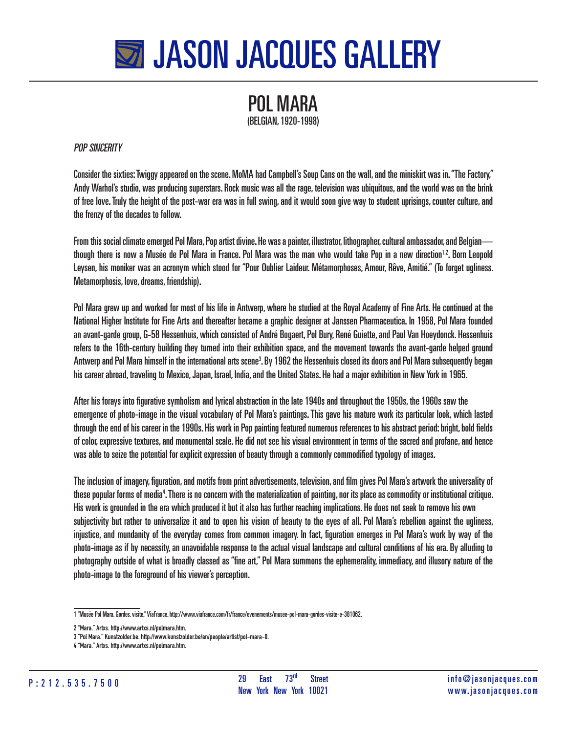

## POL MARA (BELGIAN, 1920-1998)

## POP SINCERITY

Consider the sixties: Twiggy appeared on the scene. MoMA had Campbell's Soup Cans on the wall, and the miniskirt was in. "The Factory," Andy Warhol's studio, was producing superstars. Rock music was all the rage, television was ubiquitous, and the world was on the brink of free love. Truly the height of the post-war era was in full swing, and it would soon give way to student uprisings, counter culture, and the frenzy of the decades to follow.

From this social climate emerged Pol Mara, Pop artist divine. He was a painter, illustrator, lithographer, cultural ambassador, and Belgian though there is now a Musée de Pol Mara in France. Pol Mara was the man who would take Pop in a new direction<sup>1,2</sup>. Born Leopold Leysen, his moniker was an acronym which stood for "Pour Oublier Laideur. Métamorphoses, Amour, Rêve, Amitié." (To forget ugliness. Metamorphosis, love, dreams, friendship).

Pol Mara grew up and worked for most of his life in Antwerp, where he studied at the Royal Academy of Fine Arts. He continued at the National Higher Institute for Fine Arts and thereafter became a graphic designer at Janssen Pharmaceutica. In 1958, Pol Mara founded an avant-garde group, G-58 Hessenhuis, which consisted of André Bogaert, Pol Bury, René Guiette, and Paul Van Hoeydonck. Hessenhuis refers to the 16th-century building they turned into their exhibition space, and the movement towards the avant-garde helped ground Antwerp and Pol Mara himself in the international arts scene<sup>3</sup>. By 1962 the Hessenhuis closed its doors and Pol Mara subsequently began his career abroad, traveling to Mexico, Japan, Israel, India, and the United States. He had a major exhibition in New York in 1965.

After his forays into fgurative symbolism and lyrical abstraction in the late 1940s and throughout the 1950s, the 1960s saw the emergence of photo-image in the visual vocabulary of Pol Mara's paintings. This gave his mature work its particular look, which lasted through the end of his career in the 1990s. His work in Pop painting featured numerous references to his abstract period: bright, bold felds of color, expressive textures, and monumental scale. He did not see his visual environment in terms of the sacred and profane, and hence was able to seize the potential for explicit expression of beauty through a commonly commodifed typology of images.

The inclusion of imagery, fguration, and motifs from print advertisements, television, and flm gives Pol Mara's artwork the universality of these popular forms of media<sup>4</sup>. There is no concern with the materialization of painting, nor its place as commodity or institutional critique. His work is grounded in the era which produced it but it also has further reaching implications. He does not seek to remove his own subjectivity but rather to universalize it and to open his vision of beauty to the eyes of all. Pol Mara's rebellion against the ugliness, injustice, and mundanity of the everyday comes from common imagery. In fact, fguration emerges in Pol Mara's work by way of the photo-image as if by necessity, an unavoidable response to the actual visual landscape and cultural conditions of his era. By alluding to photography outside of what is broadly classed as "fne art," Pol Mara summons the ephemerality, immediacy, and illusory nature of the photo-image to the foreground of his viewer's perception.

<sup>1 &</sup>quot;Musée Pol Mara, Gordes, visite." ViaFrance. http://www.viafrance.com/fr/france/evenements/musee-pol-mara-gordes-visite-e-381062.

**<sup>2 &</sup>quot;Mara." Artxs. http://www.artxs.nl/polmara.htm.**

**<sup>3 &</sup>quot;Pol Mara." Kunstzolder.be. http://www.kunstzolder.be/en/people/artist/pol-mara-0.**

**<sup>4 &</sup>quot;Mara." Artxs. http://www.artxs.nl/polmara.htm.**